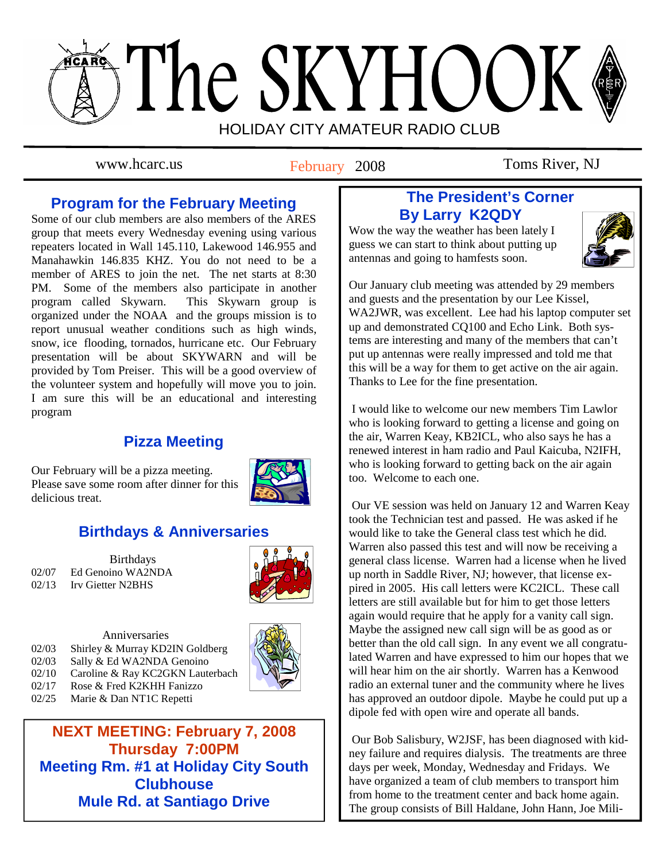# The SKYHOOK HOLIDAY CITY AMATEUR RADIO CLUB

February 2008

www.hcarc.us **Toms Replace Toms River, NJ** 

## **Program for the February Meeting**

Some of our club members are also members of the ARES group that meets every Wednesday evening using various repeaters located in Wall 145.110, Lakewood 146.955 and Manahawkin 146.835 KHZ. You do not need to be a member of ARES to join the net. The net starts at 8:30 PM. Some of the members also participate in another program called Skywarn. This Skywarn group is organized under the NOAA and the groups mission is to report unusual weather conditions such as high winds, snow, ice flooding, tornados, hurricane etc. Our February presentation will be about SKYWARN and will be provided by Tom Preiser. This will be a good overview of the volunteer system and hopefully will move you to join. I am sure this will be an educational and interesting program

## **Pizza Meeting**

Our February will be a pizza meeting. Please save some room after dinner for this delicious treat.



## **Birthdays & Anniversaries**

**Birthdays** 02/07 Ed Genoino WA2NDA 02/13 Irv Gietter N2BHS



Anniversaries 02/03 Shirley & Murray KD2IN Goldberg

- 02/03 Sally & Ed WA2NDA Genoino 02/10 Caroline & Ray KC2GKN Lauterbach
- 02/17 Rose & Fred K2KHH Fanizzo
- 02/25 Marie & Dan NT1C Repetti

**NEXT MEETING: February 7, 2008 Thursday 7:00PM Meeting Rm. #1 at Holiday City South Clubhouse Mule Rd. at Santiago Drive** 

## **The President's Corner By Larry K2QDY**

Wow the way the weather has been lately I guess we can start to think about putting up antennas and going to hamfests soon.



Our January club meeting was attended by 29 members and guests and the presentation by our Lee Kissel, WA2JWR, was excellent. Lee had his laptop computer set up and demonstrated CQ100 and Echo Link. Both systems are interesting and many of the members that can't put up antennas were really impressed and told me that this will be a way for them to get active on the air again. Thanks to Lee for the fine presentation.

 I would like to welcome our new members Tim Lawlor who is looking forward to getting a license and going on the air, Warren Keay, KB2ICL, who also says he has a renewed interest in ham radio and Paul Kaicuba, N2IFH, who is looking forward to getting back on the air again too. Welcome to each one.

 Our VE session was held on January 12 and Warren Keay took the Technician test and passed. He was asked if he would like to take the General class test which he did. Warren also passed this test and will now be receiving a general class license. Warren had a license when he lived up north in Saddle River, NJ; however, that license expired in 2005. His call letters were KC2ICL. These call letters are still available but for him to get those letters again would require that he apply for a vanity call sign. Maybe the assigned new call sign will be as good as or better than the old call sign. In any event we all congratulated Warren and have expressed to him our hopes that we will hear him on the air shortly. Warren has a Kenwood radio an external tuner and the community where he lives has approved an outdoor dipole. Maybe he could put up a dipole fed with open wire and operate all bands.

 Our Bob Salisbury, W2JSF, has been diagnosed with kidney failure and requires dialysis. The treatments are three days per week, Monday, Wednesday and Fridays. We have organized a team of club members to transport him from home to the treatment center and back home again. The group consists of Bill Haldane, John Hann, Joe Mili-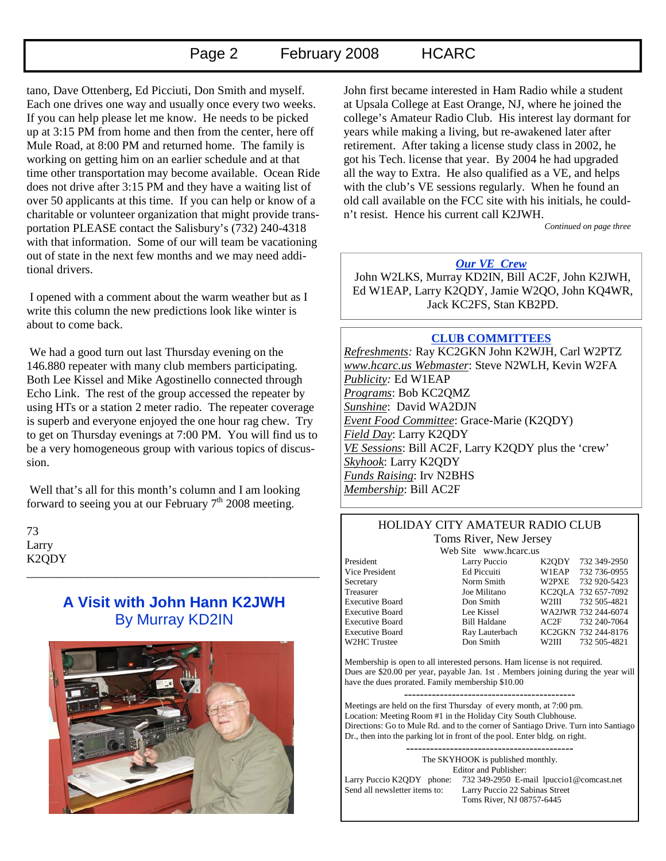## Page 2 February 2008 HCARC

tano, Dave Ottenberg, Ed Picciuti, Don Smith and myself. Each one drives one way and usually once every two weeks. If you can help please let me know. He needs to be picked up at 3:15 PM from home and then from the center, here off Mule Road, at 8:00 PM and returned home. The family is working on getting him on an earlier schedule and at that time other transportation may become available. Ocean Ride does not drive after 3:15 PM and they have a waiting list of over 50 applicants at this time. If you can help or know of a charitable or volunteer organization that might provide transportation PLEASE contact the Salisbury's (732) 240-4318 with that information. Some of our will team be vacationing out of state in the next few months and we may need additional drivers.

 I opened with a comment about the warm weather but as I write this column the new predictions look like winter is about to come back.

 We had a good turn out last Thursday evening on the 146.880 repeater with many club members participating. Both Lee Kissel and Mike Agostinello connected through Echo Link. The rest of the group accessed the repeater by using HTs or a station 2 meter radio. The repeater coverage is superb and everyone enjoyed the one hour rag chew. Try to get on Thursday evenings at 7:00 PM. You will find us to be a very homogeneous group with various topics of discussion.

 Well that's all for this month's column and I am looking forward to seeing you at our February  $7<sup>th</sup>$  2008 meeting.

73 Larry K2QDY \_\_\_\_\_\_\_\_\_\_\_\_\_\_\_\_\_\_\_\_\_\_\_\_\_\_\_\_\_\_\_\_\_\_\_\_\_\_\_\_\_\_\_\_\_\_\_\_\_

## **A Visit with John Hann K2JWH**  By Murray KD2IN



John first became interested in Ham Radio while a student at Upsala College at East Orange, NJ, where he joined the college's Amateur Radio Club. His interest lay dormant for years while making a living, but re-awakened later after retirement. After taking a license study class in 2002, he got his Tech. license that year. By 2004 he had upgraded all the way to Extra. He also qualified as a VE, and helps with the club's VE sessions regularly. When he found an old call available on the FCC site with his initials, he couldn't resist. Hence his current call K2JWH.

*Continued on page three* 

### *Our VE Crew*

 John W2LKS, Murray KD2IN, Bill AC2F, John K2JWH, Ed W1EAP, Larry K2QDY, Jamie W2QO, John KQ4WR, Jack KC2FS, Stan KB2PD.

#### **CLUB COMMITTEES**

*Refreshments:* Ray KC2GKN John K2WJH, Carl W2PTZ *www.hcarc.us Webmaster*: Steve N2WLH, Kevin W2FA *Publicity:* Ed W1EAP *Programs*: Bob KC2QMZ *Sunshine*: David WA2DJN *Event Food Committee*: Grace-Marie (K2QDY) *Field Day*: Larry K2QDY *VE Sessions*: Bill AC2F, Larry K2QDY plus the 'crew' *Skyhook*: Larry K2QDY *Funds Raising*: Irv N2BHS *Membership*: Bill AC2F

#### HOLIDAY CITY AMATEUR RADIO CLUB Toms River, New Jersey

Web Site www.hcarc.us

President Larry Puccio K2QDY 732 349-2950 Vice President Ed Piccuiti W1EAP 732 736-0955 Secretary Norm Smith W2PXE 732 920-5423<br>Treasurer Joe Militano KC2OLA 732 657-7092 Treasurer Joe Militano KC2QLA 732 657-7092 Executive Board Don Smith W2III 732 505-4821 Executive Board Lee Kissel WA2JWR 732 244-6074 Executive Board Bill Haldane AC2F 732 240-7064 Executive Board Ray Lauterbach KC2GKN 732 244-8176 W2HC Trustee Don Smith W2III 732 505-4821

Membership is open to all interested persons. Ham license is not required. Dues are \$20.00 per year, payable Jan. 1st . Members joining during the year will have the dues prorated. Family membership \$10.00

Meetings are held on the first Thursday of every month, at 7:00 pm. Location: Meeting Room #1 in the Holiday City South Clubhouse. Directions: Go to Mule Rd. and to the corner of Santiago Drive. Turn into Santiago Dr., then into the parking lot in front of the pool. Enter bldg. on right.

------------------------------------------ The SKYHOOK is published monthly.

Editor and Publisher: Larry Puccio K2QDY phone: 732 349-2950 E-mail lpuccio1@comcast.net<br>Send all newsletter items to: Larry Puccio 22 Sabinas Street Larry Puccio 22 Sabinas Street Toms River, NJ 08757-6445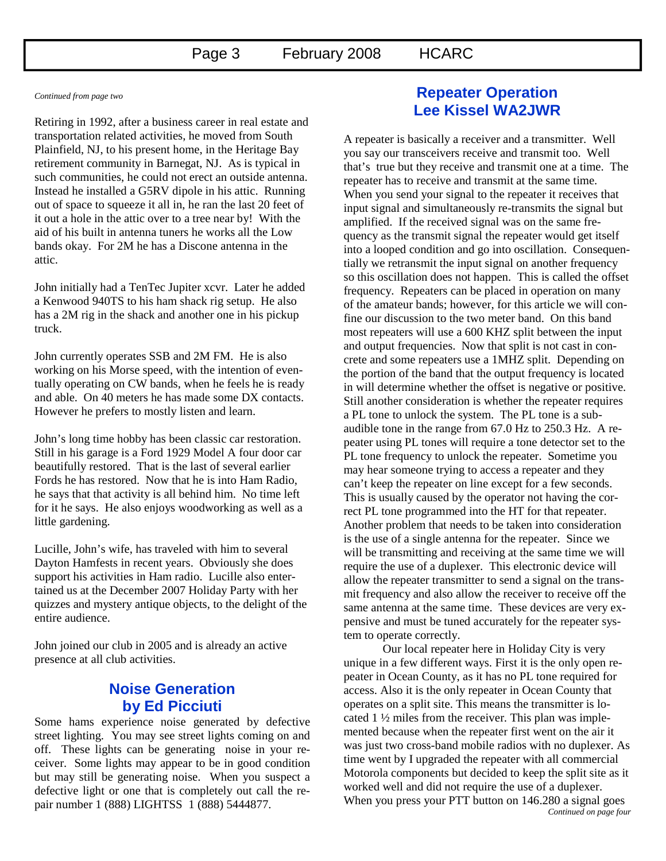*Continued from page two* 

Retiring in 1992, after a business career in real estate and transportation related activities, he moved from South Plainfield, NJ, to his present home, in the Heritage Bay retirement community in Barnegat, NJ. As is typical in such communities, he could not erect an outside antenna. Instead he installed a G5RV dipole in his attic. Running out of space to squeeze it all in, he ran the last 20 feet of it out a hole in the attic over to a tree near by! With the aid of his built in antenna tuners he works all the Low bands okay. For 2M he has a Discone antenna in the attic.

John initially had a TenTec Jupiter xcvr. Later he added a Kenwood 940TS to his ham shack rig setup. He also has a 2M rig in the shack and another one in his pickup truck.

John currently operates SSB and 2M FM. He is also working on his Morse speed, with the intention of eventually operating on CW bands, when he feels he is ready and able. On 40 meters he has made some DX contacts. However he prefers to mostly listen and learn.

John's long time hobby has been classic car restoration. Still in his garage is a Ford 1929 Model A four door car beautifully restored. That is the last of several earlier Fords he has restored. Now that he is into Ham Radio, he says that that activity is all behind him. No time left for it he says. He also enjoys woodworking as well as a little gardening.

Lucille, John's wife, has traveled with him to several Dayton Hamfests in recent years. Obviously she does support his activities in Ham radio. Lucille also entertained us at the December 2007 Holiday Party with her quizzes and mystery antique objects, to the delight of the entire audience.

John joined our club in 2005 and is already an active presence at all club activities.

## **Noise Generation by Ed Picciuti**

Some hams experience noise generated by defective street lighting. You may see street lights coming on and off. These lights can be generating noise in your receiver. Some lights may appear to be in good condition but may still be generating noise. When you suspect a defective light or one that is completely out call the repair number 1 (888) LIGHTSS 1 (888) 5444877.

## **Repeater Operation Lee Kissel WA2JWR**

A repeater is basically a receiver and a transmitter. Well you say our transceivers receive and transmit too. Well that's true but they receive and transmit one at a time. The repeater has to receive and transmit at the same time. When you send your signal to the repeater it receives that input signal and simultaneously re-transmits the signal but amplified. If the received signal was on the same frequency as the transmit signal the repeater would get itself into a looped condition and go into oscillation. Consequentially we retransmit the input signal on another frequency so this oscillation does not happen. This is called the offset frequency. Repeaters can be placed in operation on many of the amateur bands; however, for this article we will confine our discussion to the two meter band. On this band most repeaters will use a 600 KHZ split between the input and output frequencies. Now that split is not cast in concrete and some repeaters use a 1MHZ split. Depending on the portion of the band that the output frequency is located in will determine whether the offset is negative or positive. Still another consideration is whether the repeater requires a PL tone to unlock the system. The PL tone is a subaudible tone in the range from 67.0 Hz to 250.3 Hz. A repeater using PL tones will require a tone detector set to the PL tone frequency to unlock the repeater. Sometime you may hear someone trying to access a repeater and they can't keep the repeater on line except for a few seconds. This is usually caused by the operator not having the correct PL tone programmed into the HT for that repeater. Another problem that needs to be taken into consideration is the use of a single antenna for the repeater. Since we will be transmitting and receiving at the same time we will require the use of a duplexer. This electronic device will allow the repeater transmitter to send a signal on the transmit frequency and also allow the receiver to receive off the same antenna at the same time. These devices are very expensive and must be tuned accurately for the repeater system to operate correctly.

 Our local repeater here in Holiday City is very unique in a few different ways. First it is the only open repeater in Ocean County, as it has no PL tone required for access. Also it is the only repeater in Ocean County that operates on a split site. This means the transmitter is located 1 ½ miles from the receiver. This plan was implemented because when the repeater first went on the air it was just two cross-band mobile radios with no duplexer. As time went by I upgraded the repeater with all commercial Motorola components but decided to keep the split site as it worked well and did not require the use of a duplexer. When you press your PTT button on 146.280 a signal goes *Continued on page four*